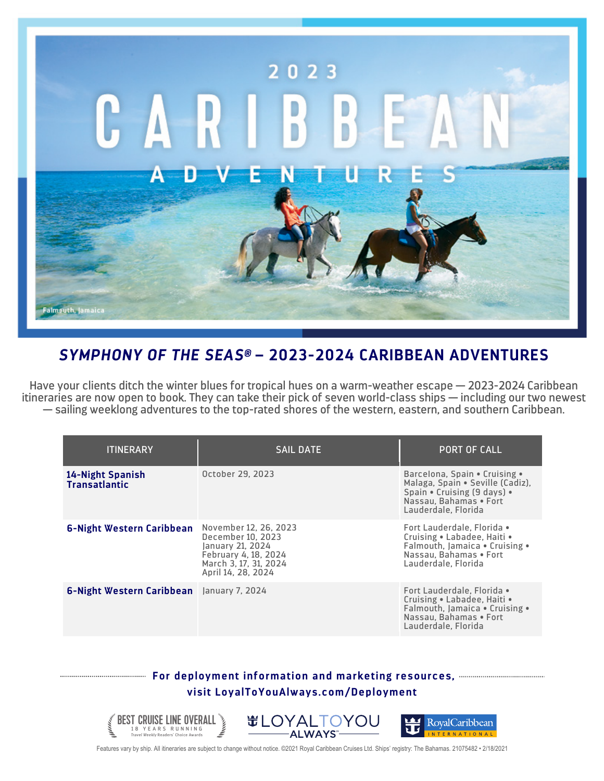

## *SYMPHONY OF THE SEAS®* **– 2023-2024 CARIBBEAN ADVENTURES**

Have your clients ditch the winter blues for tropical hues on a warm-weather escape — 2023-2024 Caribbean itineraries are now open to book. They can take their pick of seven world-class ships — including our two newest — sailing weeklong adventures to the top-rated shores of the western, eastern, and southern Caribbean.

| <b>ITINERARY</b>                                 | <b>SAIL DATE</b>                                                                                                                      | <b>PORT OF CALL</b>                                                                                                                               |
|--------------------------------------------------|---------------------------------------------------------------------------------------------------------------------------------------|---------------------------------------------------------------------------------------------------------------------------------------------------|
| 14-Night Spanish<br><b>Transatlantic</b>         | October 29, 2023                                                                                                                      | Barcelona, Spain • Cruising •<br>Malaga, Spain . Seville (Cadiz),<br>Spain • Cruising (9 days) •<br>Nassau, Bahamas . Fort<br>Lauderdale, Florida |
| 6-Night Western Caribbean                        | November 12, 26, 2023<br>December 10, 2023<br>January 21, 2024<br>February 4, 18, 2024<br>March 3, 17, 31, 2024<br>April 14, 28, 2024 | Fort Lauderdale, Florida •<br>Cruising . Labadee, Haiti .<br>Falmouth, Jamaica • Cruising •<br>Nassau. Bahamas . Fort<br>Lauderdale, Florida      |
| <b>6-Night Western Caribbean</b> January 7, 2024 |                                                                                                                                       | Fort Lauderdale. Florida •<br>Cruising • Labadee, Haiti •<br>Falmouth, Jamaica . Cruising .<br>Nassau, Bahamas . Fort<br>Lauderdale, Florida      |

## **For deployment information and marketing resources, visit LoyalToYouAlways.com/Deployment**



Features vary by ship. All itineraries are subject to change without notice. ©2021 Royal Caribbean Cruises Ltd. Ships' registry: The Bahamas. 21075482 • 2/18/2021